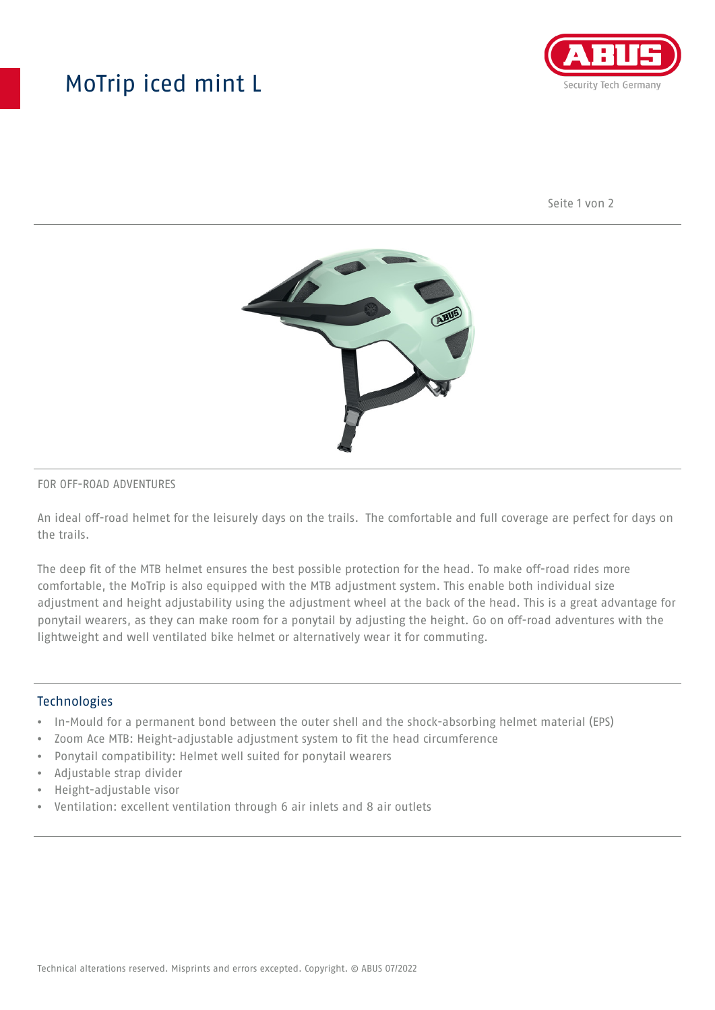## MoTrip iced mint L



Seite 1 von 2



#### FOR OFF-ROAD ADVENTURES

An ideal off-road helmet for the leisurely days on the trails. The comfortable and full coverage are perfect for days on the trails.

The deep fit of the MTB helmet ensures the best possible protection for the head. To make off-road rides more comfortable, the MoTrip is also equipped with the MTB adjustment system. This enable both individual size adjustment and height adjustability using the adjustment wheel at the back of the head. This is a great advantage for ponytail wearers, as they can make room for a ponytail by adjusting the height. Go on off-road adventures with the lightweight and well ventilated bike helmet or alternatively wear it for commuting.

#### Technologies

- In-Mould for a permanent bond between the outer shell and the shock-absorbing helmet material (EPS)
- Zoom Ace MTB: Height-adjustable adjustment system to fit the head circumference
- Ponytail compatibility: Helmet well suited for ponytail wearers
- Adjustable strap divider
- Height-adjustable visor
- Ventilation: excellent ventilation through 6 air inlets and 8 air outlets